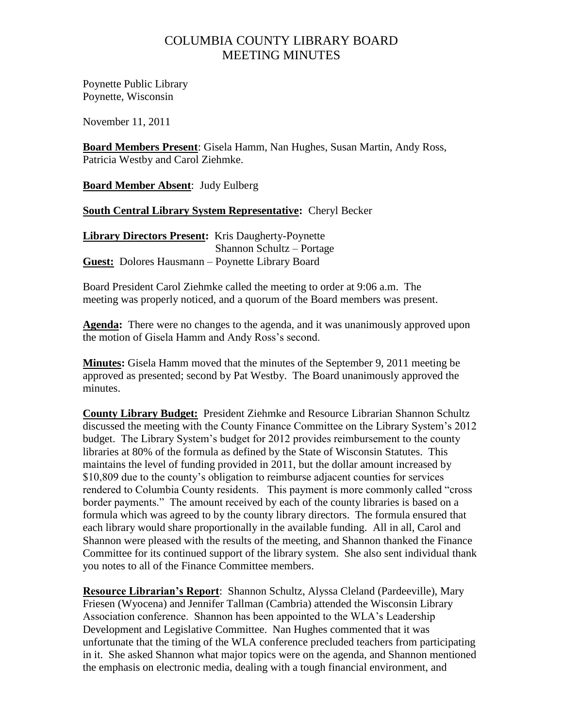## COLUMBIA COUNTY LIBRARY BOARD MEETING MINUTES

Poynette Public Library Poynette, Wisconsin

November 11, 2011

**Board Members Present**: Gisela Hamm, Nan Hughes, Susan Martin, Andy Ross, Patricia Westby and Carol Ziehmke.

**Board Member Absent**: Judy Eulberg

## **South Central Library System Representative:** Cheryl Becker

**Library Directors Present:** Kris Daugherty-Poynette Shannon Schultz – Portage **Guest:** Dolores Hausmann – Poynette Library Board

Board President Carol Ziehmke called the meeting to order at 9:06 a.m. The meeting was properly noticed, and a quorum of the Board members was present.

**Agenda:** There were no changes to the agenda, and it was unanimously approved upon the motion of Gisela Hamm and Andy Ross"s second.

**Minutes:** Gisela Hamm moved that the minutes of the September 9, 2011 meeting be approved as presented; second by Pat Westby. The Board unanimously approved the minutes.

**County Library Budget:** President Ziehmke and Resource Librarian Shannon Schultz discussed the meeting with the County Finance Committee on the Library System"s 2012 budget. The Library System"s budget for 2012 provides reimbursement to the county libraries at 80% of the formula as defined by the State of Wisconsin Statutes. This maintains the level of funding provided in 2011, but the dollar amount increased by \$10,809 due to the county's obligation to reimburse adjacent counties for services rendered to Columbia County residents. This payment is more commonly called "cross border payments." The amount received by each of the county libraries is based on a formula which was agreed to by the county library directors. The formula ensured that each library would share proportionally in the available funding. All in all, Carol and Shannon were pleased with the results of the meeting, and Shannon thanked the Finance Committee for its continued support of the library system. She also sent individual thank you notes to all of the Finance Committee members.

**Resource Librarian's Report**: Shannon Schultz, Alyssa Cleland (Pardeeville), Mary Friesen (Wyocena) and Jennifer Tallman (Cambria) attended the Wisconsin Library Association conference. Shannon has been appointed to the WLA"s Leadership Development and Legislative Committee. Nan Hughes commented that it was unfortunate that the timing of the WLA conference precluded teachers from participating in it. She asked Shannon what major topics were on the agenda, and Shannon mentioned the emphasis on electronic media, dealing with a tough financial environment, and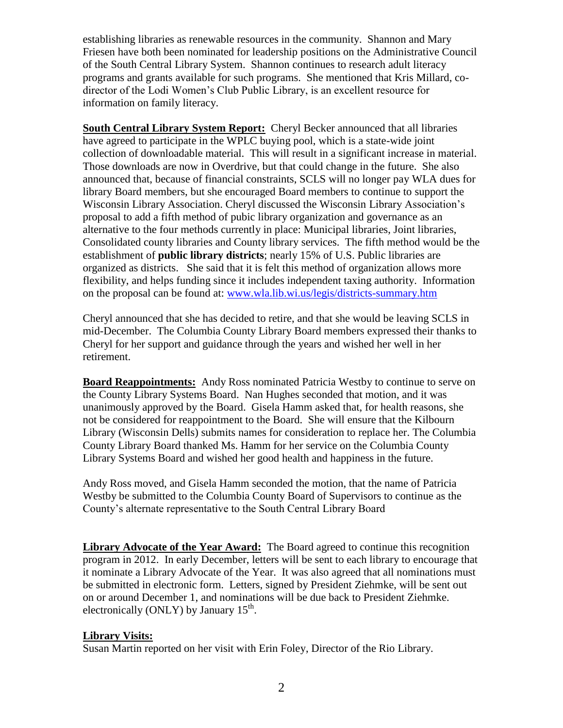establishing libraries as renewable resources in the community. Shannon and Mary Friesen have both been nominated for leadership positions on the Administrative Council of the South Central Library System. Shannon continues to research adult literacy programs and grants available for such programs. She mentioned that Kris Millard, codirector of the Lodi Women"s Club Public Library, is an excellent resource for information on family literacy.

**South Central Library System Report:** Cheryl Becker announced that all libraries have agreed to participate in the WPLC buying pool, which is a state-wide joint collection of downloadable material. This will result in a significant increase in material. Those downloads are now in Overdrive, but that could change in the future. She also announced that, because of financial constraints, SCLS will no longer pay WLA dues for library Board members, but she encouraged Board members to continue to support the Wisconsin Library Association. Cheryl discussed the Wisconsin Library Association"s proposal to add a fifth method of pubic library organization and governance as an alternative to the four methods currently in place: Municipal libraries, Joint libraries, Consolidated county libraries and County library services. The fifth method would be the establishment of **public library districts**; nearly 15% of U.S. Public libraries are organized as districts. She said that it is felt this method of organization allows more flexibility, and helps funding since it includes independent taxing authority. Information on the proposal can be found at: [www.wla.lib.wi.us/legis/districts-summary.htm](http://www.wla.lib.wi.us/legis/districts-summary.htm)

Cheryl announced that she has decided to retire, and that she would be leaving SCLS in mid-December. The Columbia County Library Board members expressed their thanks to Cheryl for her support and guidance through the years and wished her well in her retirement.

**Board Reappointments:** Andy Ross nominated Patricia Westby to continue to serve on the County Library Systems Board. Nan Hughes seconded that motion, and it was unanimously approved by the Board. Gisela Hamm asked that, for health reasons, she not be considered for reappointment to the Board. She will ensure that the Kilbourn Library (Wisconsin Dells) submits names for consideration to replace her. The Columbia County Library Board thanked Ms. Hamm for her service on the Columbia County Library Systems Board and wished her good health and happiness in the future.

Andy Ross moved, and Gisela Hamm seconded the motion, that the name of Patricia Westby be submitted to the Columbia County Board of Supervisors to continue as the County"s alternate representative to the South Central Library Board

**Library Advocate of the Year Award:** The Board agreed to continue this recognition program in 2012. In early December, letters will be sent to each library to encourage that it nominate a Library Advocate of the Year. It was also agreed that all nominations must be submitted in electronic form. Letters, signed by President Ziehmke, will be sent out on or around December 1, and nominations will be due back to President Ziehmke. electronically (ONLY) by January  $15<sup>th</sup>$ .

## **Library Visits:**

Susan Martin reported on her visit with Erin Foley, Director of the Rio Library.